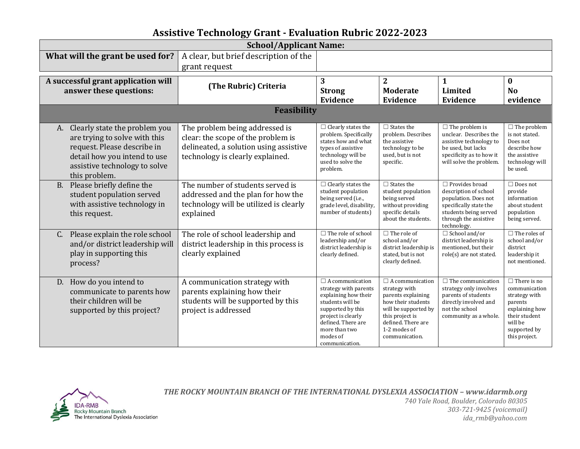## **Assistive Technology Grant - Evaluation Rubric 2022-2023**

| <b>School/Applicant Name:</b>                                                                                                                                                         |                                                                                                                                                    |                                                                                                                                                                                                             |                                                                                                                                                                                        |                                                                                                                                                                   |                                                                                                                                                |  |  |
|---------------------------------------------------------------------------------------------------------------------------------------------------------------------------------------|----------------------------------------------------------------------------------------------------------------------------------------------------|-------------------------------------------------------------------------------------------------------------------------------------------------------------------------------------------------------------|----------------------------------------------------------------------------------------------------------------------------------------------------------------------------------------|-------------------------------------------------------------------------------------------------------------------------------------------------------------------|------------------------------------------------------------------------------------------------------------------------------------------------|--|--|
| What will the grant be used for?                                                                                                                                                      | A clear, but brief description of the<br>grant request                                                                                             |                                                                                                                                                                                                             |                                                                                                                                                                                        |                                                                                                                                                                   |                                                                                                                                                |  |  |
| A successful grant application will<br>answer these questions:                                                                                                                        | (The Rubric) Criteria                                                                                                                              | 3<br><b>Strong</b><br>Evidence                                                                                                                                                                              | $\overline{2}$<br><b>Moderate</b><br>Evidence                                                                                                                                          | $\mathbf{1}$<br>Limited<br>Evidence                                                                                                                               | $\bf{0}$<br>N <sub>0</sub><br>evidence                                                                                                         |  |  |
| <b>Feasibility</b>                                                                                                                                                                    |                                                                                                                                                    |                                                                                                                                                                                                             |                                                                                                                                                                                        |                                                                                                                                                                   |                                                                                                                                                |  |  |
| Clearly state the problem you<br>A.<br>are trying to solve with this<br>request. Please describe in<br>detail how you intend to use<br>assistive technology to solve<br>this problem. | The problem being addressed is<br>clear: the scope of the problem is<br>delineated, a solution using assistive<br>technology is clearly explained. | $\Box$ Clearly states the<br>problem. Specifically<br>states how and what<br>types of assistive<br>technology will be<br>used to solve the<br>problem.                                                      | $\Box$ States the<br>problem. Describes<br>the assistive<br>technology to be<br>used, but is not<br>specific.                                                                          | $\Box$ The problem is<br>unclear. Describes the<br>assistive technology to<br>be used, but lacks<br>specificity as to how it<br>will solve the problem.           | $\Box$ The problem<br>is not stated.<br>Does not<br>describe how<br>the assistive<br>technology will<br>be used.                               |  |  |
| Please briefly define the<br><b>B.</b><br>student population served<br>with assistive technology in<br>this request.                                                                  | The number of students served is<br>addressed and the plan for how the<br>technology will be utilized is clearly<br>explained                      | $\Box$ Clearly states the<br>student population<br>being served (i.e.,<br>grade level, disability,<br>number of students)                                                                                   | $\Box$ States the<br>student population<br>being served<br>without providing<br>specific details<br>about the students.                                                                | $\Box$ Provides broad<br>description of school<br>population. Does not<br>specifically state the<br>students being served<br>through the assistive<br>technology. | $\Box$ Does not<br>provide<br>information<br>about student<br>population<br>being served.                                                      |  |  |
| Please explain the role school<br>$C_{\cdot}$<br>and/or district leadership will<br>play in supporting this<br>process?                                                               | The role of school leadership and<br>district leadership in this process is<br>clearly explained                                                   | $\Box$ The role of school<br>leadership and/or<br>district leadership is<br>clearly defined.                                                                                                                | $\Box$ The role of<br>school and/or<br>district leadership is<br>stated, but is not<br>clearly defined.                                                                                | $\Box$ School and/or<br>district leadership is<br>mentioned, but their<br>role(s) are not stated.                                                                 | $\Box$ The roles of<br>school and/or<br>district<br>leadership it<br>not mentioned.                                                            |  |  |
| How do you intend to<br>D.<br>communicate to parents how<br>their children will be<br>supported by this project?                                                                      | A communication strategy with<br>parents explaining how their<br>students will be supported by this<br>project is addressed                        | $\Box$ A communication<br>strategy with parents<br>explaining how their<br>students will be<br>supported by this<br>project is clearly<br>defined. There are<br>more than two<br>modes of<br>communication. | $\Box$ A communication<br>strategy with<br>parents explaining<br>how their students<br>will be supported by<br>this project is<br>defined. There are<br>1-2 modes of<br>communication. | $\Box$ The communication<br>strategy only involves<br>parents of students<br>directly involved and<br>not the school<br>community as a whole.                     | $\Box$ There is no<br>communication<br>strategy with<br>parents<br>explaining how<br>their student<br>will be<br>supported by<br>this project. |  |  |



*THE ROCKY MOUNTAIN BRANCH OF THE INTERNATIONAL DYSLEXIA ASSOCIATION – www.idarmb.org*

*740 Yale Road, Boulder, Colorado 80305 303-721-9425 (voicemail) ida\_rmb@yahoo.com*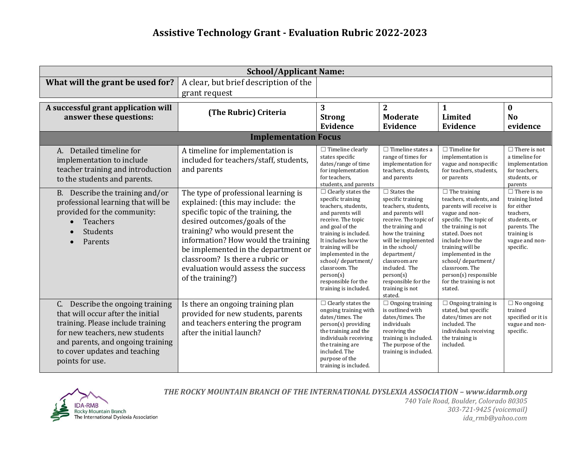| <b>School/Applicant Name:</b>                                                                                                                                                                                                         |                                                                                                                                                                                                                                                                                                                                                                   |                                                                                                                                                                                                                                                                                                                                   |                                                                                                                                                                                                                                                                                                                |                                                                                                                                                                                                                                                                                                                                      |                                                                                                                                                |  |  |
|---------------------------------------------------------------------------------------------------------------------------------------------------------------------------------------------------------------------------------------|-------------------------------------------------------------------------------------------------------------------------------------------------------------------------------------------------------------------------------------------------------------------------------------------------------------------------------------------------------------------|-----------------------------------------------------------------------------------------------------------------------------------------------------------------------------------------------------------------------------------------------------------------------------------------------------------------------------------|----------------------------------------------------------------------------------------------------------------------------------------------------------------------------------------------------------------------------------------------------------------------------------------------------------------|--------------------------------------------------------------------------------------------------------------------------------------------------------------------------------------------------------------------------------------------------------------------------------------------------------------------------------------|------------------------------------------------------------------------------------------------------------------------------------------------|--|--|
| What will the grant be used for?                                                                                                                                                                                                      | A clear, but brief description of the<br>grant request                                                                                                                                                                                                                                                                                                            |                                                                                                                                                                                                                                                                                                                                   |                                                                                                                                                                                                                                                                                                                |                                                                                                                                                                                                                                                                                                                                      |                                                                                                                                                |  |  |
| A successful grant application will<br>answer these questions:                                                                                                                                                                        | (The Rubric) Criteria                                                                                                                                                                                                                                                                                                                                             | 3<br><b>Strong</b><br>Evidence                                                                                                                                                                                                                                                                                                    | $\overline{2}$<br><b>Moderate</b><br>Evidence                                                                                                                                                                                                                                                                  | $\mathbf{1}$<br><b>Limited</b><br>Evidence                                                                                                                                                                                                                                                                                           | $\bf{0}$<br><b>No</b><br>evidence                                                                                                              |  |  |
| <b>Implementation Focus</b>                                                                                                                                                                                                           |                                                                                                                                                                                                                                                                                                                                                                   |                                                                                                                                                                                                                                                                                                                                   |                                                                                                                                                                                                                                                                                                                |                                                                                                                                                                                                                                                                                                                                      |                                                                                                                                                |  |  |
| A. Detailed timeline for<br>implementation to include<br>teacher training and introduction<br>to the students and parents.                                                                                                            | A timeline for implementation is<br>included for teachers/staff, students,<br>and parents                                                                                                                                                                                                                                                                         | $\Box$ Timeline clearly<br>states specific<br>dates/range of time<br>for implementation<br>for teachers.<br>students, and parents                                                                                                                                                                                                 | $\Box$ Timeline states a<br>range of times for<br>implementation for<br>teachers, students,<br>and parents                                                                                                                                                                                                     | $\Box$ Timeline for<br>implementation is<br>vague and nonspecific<br>for teachers, students,<br>or parents                                                                                                                                                                                                                           | $\Box$ There is not<br>a timeline for<br>implementation<br>for teachers,<br>students, or<br>parents                                            |  |  |
| B. Describe the training and/or<br>professional learning that will be<br>provided for the community:<br><b>Teachers</b><br>Students<br>Parents                                                                                        | The type of professional learning is<br>explained: (this may include: the<br>specific topic of the training, the<br>desired outcomes/goals of the<br>training? who would present the<br>information? How would the training<br>be implemented in the department or<br>classroom? Is there a rubric or<br>evaluation would assess the success<br>of the training?) | $\Box$ Clearly states the<br>specific training<br>teachers, students,<br>and parents will<br>receive. The topic<br>and goal of the<br>training is included.<br>It includes how the<br>training will be<br>implemented in the<br>school/department/<br>classroom. The<br>person(s)<br>responsible for the<br>training is included. | $\Box$ States the<br>specific training<br>teachers, students,<br>and parents will<br>receive. The topic of<br>the training and<br>how the training<br>will be implemented<br>in the school/<br>department/<br>classroom are<br>included. The<br>person(s)<br>responsible for the<br>training is not<br>stated. | $\Box$ The training<br>teachers, students, and<br>parents will receive is<br>vague and non-<br>specific. The topic of<br>the training is not<br>stated. Does not<br>include how the<br>training will be<br>implemented in the<br>school/department/<br>classroom. The<br>person(s) responsible<br>for the training is not<br>stated. | $\Box$ There is no<br>training listed<br>for either<br>teachers,<br>students, or<br>parents. The<br>training is<br>vague and non-<br>specific. |  |  |
| C. Describe the ongoing training<br>that will occur after the initial<br>training. Please include training<br>for new teachers, new students<br>and parents, and ongoing training<br>to cover updates and teaching<br>points for use. | Is there an ongoing training plan<br>provided for new students, parents<br>and teachers entering the program<br>after the initial launch?                                                                                                                                                                                                                         | $\Box$ Clearly states the<br>ongoing training with<br>dates/times. The<br>person(s) providing<br>the training and the<br>individuals receiving<br>the training are<br>included. The<br>purpose of the<br>training is included.                                                                                                    | $\Box$ Ongoing training<br>is outlined with<br>dates/times. The<br>individuals<br>receiving the<br>training is included.<br>The purpose of the<br>training is included.                                                                                                                                        | $\Box$ Ongoing training is<br>stated, but specific<br>dates/times are not<br>included. The<br>individuals receiving<br>the training is<br>included.                                                                                                                                                                                  | $\Box$ No ongoing<br>trained<br>specified or it is<br>vague and non-<br>specific.                                                              |  |  |



*THE ROCKY MOUNTAIN BRANCH OF THE INTERNATIONAL DYSLEXIA ASSOCIATION – www.idarmb.org*

*740 Yale Road, Boulder, Colorado 80305 303-721-9425 (voicemail) ida\_rmb@yahoo.com*